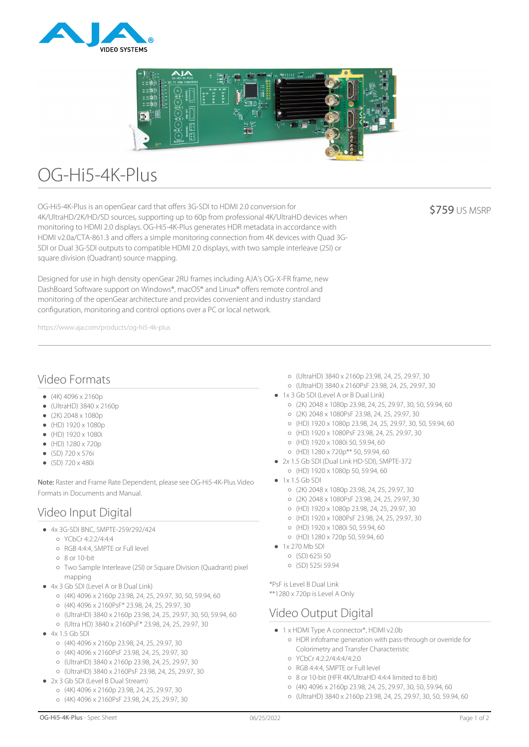



# OG-Hi5-4K-Plus

OG-Hi5-4K-Plus is an openGear card that offers 3G-SDI to HDMI 2.0 conversion for 4K/UltraHD/2K/HD/SD sources, supporting up to 60p from professional 4K/UltraHD devices when monitoring to HDMI 2.0 displays. OG-Hi5-4K-Plus generates HDR metadata in accordance with HDMI v2.0a/CTA-861.3 and offers a simple monitoring connection from 4K devices with Quad 3G-SDI or Dual 3G-SDI outputs to compatible HDMI 2.0 displays, with two sample interleave (2SI) or square division (Quadrant) source mapping.

Designed for use in high density openGear 2RU frames including AJA's OG-X-FR frame, new DashBoard Software support on Windows®, macOS® and Linux® offers remote control and monitoring of the openGear architecture and provides convenient and industry standard configuration, monitoring and control options over a PC or local network.

https://www.aja.com/products/og-hi5-4k-plus

#### **\$759 US MSRP**

## Video Formats

- $(4K)$  4096 x 2160p
- $\bullet$  (UltraHD) 3840 x 2160p
- $(2K)$  2048 x 1080p
- $(HD) 1920 x 1080p$
- (HD) 1920 x 1080i
- $(HD) 1280 \times 720p$
- (SD) 720 x 576i
- (SD) 720 x 480i

Note: Raster and Frame Rate Dependent, please see OG-Hi5-4K-Plus Video Formats in Documents and Manual.

# Video Input Digital

- 4x 3G-SDI BNC, SMPTE-259/292/424
	- YCbCr 4:2:2/4:4:4
	- RGB 4:4:4, SMPTE or Full level
	- 8 or 10-bit
	- Two Sample Interleave (2SI) or Square Division (Quadrant) pixel mapping
- 4x 3 Gb SDI (Level A or B Dual Link)
	- (4K) 4096 x 2160p 23.98, 24, 25, 29.97, 30, 50, 59.94, 60
	- (4K) 4096 x 2160PsF\* 23.98, 24, 25, 29.97, 30
	- (UltraHD) 3840 x 2160p 23.98, 24, 25, 29.97, 30, 50, 59.94, 60
	- (Ultra HD) 3840 x 2160PsF\* 23.98, 24, 25, 29.97, 30
- $4x 15$  Gb SDI
	- (4K) 4096 x 2160p 23.98, 24, 25, 29.97, 30
	- (4K) 4096 x 2160PsF 23.98, 24, 25, 29.97, 30
	- (UltraHD) 3840 x 2160p 23.98, 24, 25, 29.97, 30
	- (UltraHD) 3840 x 2160PsF 23.98, 24, 25, 29.97, 30
- 2x 3 Gb SDI (Level B Dual Stream)
	- (4K) 4096 x 2160p 23.98, 24, 25, 29.97, 30
	- (4K) 4096 x 2160PsF 23.98, 24, 25, 29.97, 30
- (UltraHD) 3840 x 2160p 23.98, 24, 25, 29.97, 30
- (UltraHD) 3840 x 2160PsF 23.98, 24, 25, 29.97, 30
- 1x 3 Gb SDI (Level A or B Dual Link)
	- (2K) 2048 x 1080p 23.98, 24, 25, 29.97, 30, 50, 59.94, 60
	- (2K) 2048 x 1080PsF 23.98, 24, 25, 29.97, 30
	- (HD) 1920 x 1080p 23.98, 24, 25, 29.97, 30, 50, 59.94, 60
	- (HD) 1920 x 1080PsF 23.98, 24, 25, 29.97, 30
	- (HD) 1920 x 1080i 50, 59.94, 60
	- (HD) 1280 x 720p\*\* 50, 59.94, 60
- 2x 1.5 Gb SDI (Dual Link HD-SDI), SMPTE-372
	- (HD) 1920 x 1080p 50, 59.94, 60
- $\bullet$  1x 1.5 Gb SDI
	- (2K) 2048 x 1080p 23.98, 24, 25, 29.97, 30
	- (2K) 2048 x 1080PsF 23.98, 24, 25, 29.97, 30
	- (HD) 1920 x 1080p 23.98, 24, 25, 29.97, 30
	- (HD) 1920 x 1080PsF 23.98, 24, 25, 29.97, 30
	- (HD) 1920 x 1080i 50, 59.94, 60
	- (HD) 1280 x 720p 50, 59.94, 60
- $-1x$  270 Mb SDI
	- (SD) 625i 50
	- (SD) 525i 59.94

\*PsF is Level B Dual Link \*\*1280 x 720p is Level A Only

# Video Output Digital

- 1 x HDMI Type A connector\*, HDMI v2.0b
	- HDR infoframe generation with pass-through or override for Colorimetry and Transfer Characteristic
	- YCbCr 4:2:2/4:4:4/4:2:0
	- RGB 4:4:4, SMPTE or Full level
	- 8 or 10-bit (HFR 4K/UltraHD 4:4:4 limited to 8 bit)
	- (4K) 4096 x 2160p 23.98, 24, 25, 29.97, 30, 50, 59.94, 60
	- (UltraHD) 3840 x 2160p 23.98, 24, 25, 29.97, 30, 50, 59.94, 60